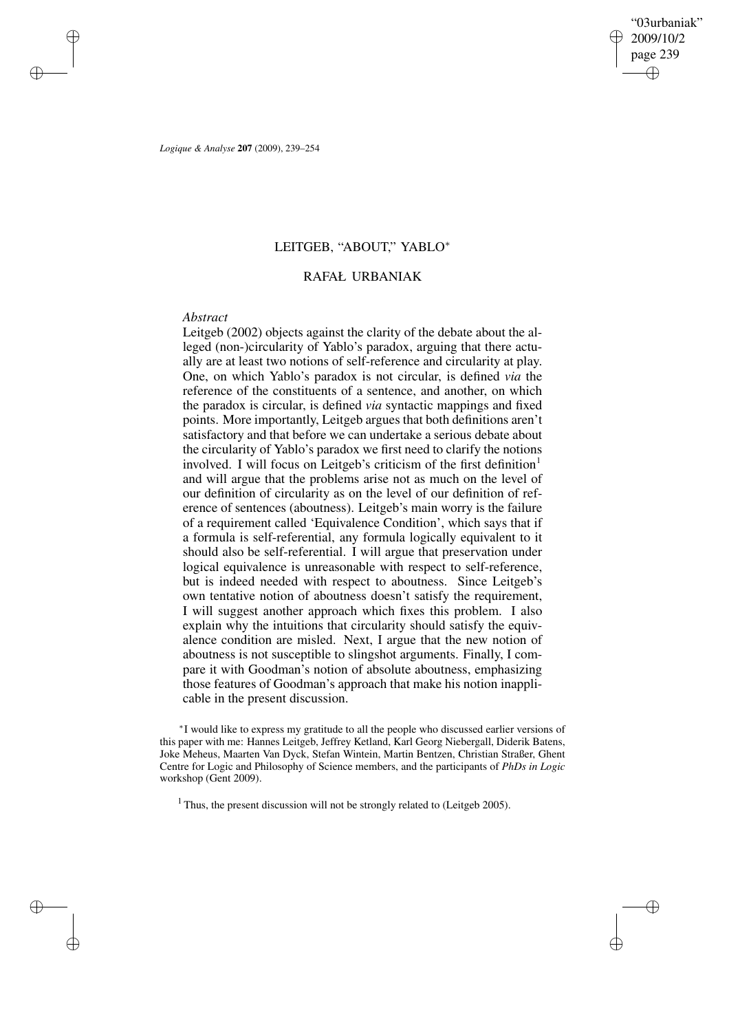✐

✐

*Logique & Analyse* **207** (2009), 239–254

# LEITGEB, "ABOUT," YABLO<sup>∗</sup>

# RAFAŁ URBANIAK

## *Abstract*

✐

✐

✐

✐

Leitgeb (2002) objects against the clarity of the debate about the alleged (non-)circularity of Yablo's paradox, arguing that there actually are at least two notions of self-reference and circularity at play. One, on which Yablo's paradox is not circular, is defined *via* the reference of the constituents of a sentence, and another, on which the paradox is circular, is defined *via* syntactic mappings and fixed points. More importantly, Leitgeb argues that both definitions aren't satisfactory and that before we can undertake a serious debate about the circularity of Yablo's paradox we first need to clarify the notions involved. I will focus on Leitgeb's criticism of the first definition<sup>1</sup> and will argue that the problems arise not as much on the level of our definition of circularity as on the level of our definition of reference of sentences (aboutness). Leitgeb's main worry is the failure of a requirement called 'Equivalence Condition', which says that if a formula is self-referential, any formula logically equivalent to it should also be self-referential. I will argue that preservation under logical equivalence is unreasonable with respect to self-reference, but is indeed needed with respect to aboutness. Since Leitgeb's own tentative notion of aboutness doesn't satisfy the requirement, I will suggest another approach which fixes this problem. I also explain why the intuitions that circularity should satisfy the equivalence condition are misled. Next, I argue that the new notion of aboutness is not susceptible to slingshot arguments. Finally, I compare it with Goodman's notion of absolute aboutness, emphasizing those features of Goodman's approach that make his notion inapplicable in the present discussion.

<sup>∗</sup> I would like to express my gratitude to all the people who discussed earlier versions of this paper with me: Hannes Leitgeb, Jeffrey Ketland, Karl Georg Niebergall, Diderik Batens, Joke Meheus, Maarten Van Dyck, Stefan Wintein, Martin Bentzen, Christian Straßer, Ghent Centre for Logic and Philosophy of Science members, and the participants of *PhDs in Logic* workshop (Gent 2009).

 $1$  Thus, the present discussion will not be strongly related to (Leitgeb 2005).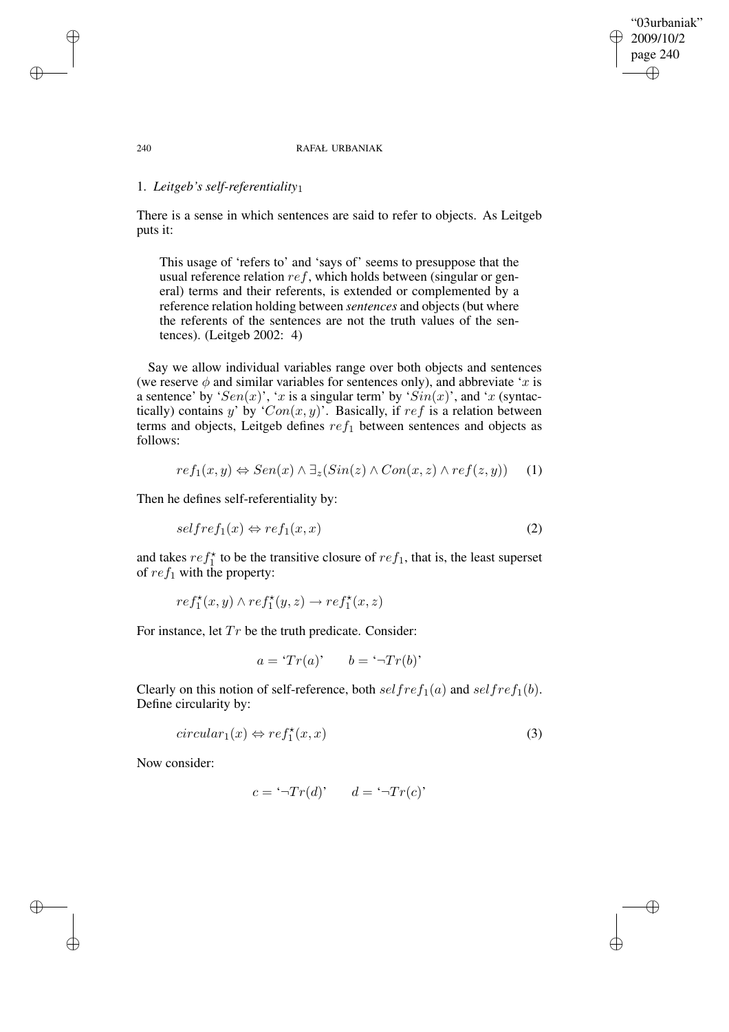## "03urbaniak" 2009/10/2 page 240 ✐ ✐

✐

✐

### 240 RAFAŁ URBANIAK

# 1. *Leitgeb's self-referentiality*1

There is a sense in which sentences are said to refer to objects. As Leitgeb puts it:

This usage of 'refers to' and 'says of' seems to presuppose that the usual reference relation  $ref$ , which holds between (singular or general) terms and their referents, is extended or complemented by a reference relation holding between *sentences* and objects (but where the referents of the sentences are not the truth values of the sentences). (Leitgeb 2002: 4)

Say we allow individual variables range over both objects and sentences (we reserve  $\phi$  and similar variables for sentences only), and abbreviate 'x is a sentence' by ' $Sen(x)$ ', 'x is a singular term' by ' $Sin(x)$ ', and 'x (syntactically) contains y' by ' $Con(x, y)$ '. Basically, if  $ref$  is a relation between terms and objects, Leitgeb defines  $ref_1$  between sentences and objects as follows:

$$
ref_1(x, y) \Leftrightarrow Sen(x) \wedge \exists_z (Sin(z) \wedge Con(x, z) \wedge ref(z, y))
$$
 (1)

Then he defines self-referentiality by:

$$
selfref_1(x) \Leftrightarrow ref_1(x, x) \tag{2}
$$

and takes  $ref_1^*$  to be the transitive closure of  $ref_1$ , that is, the least superset of  $ref_1$  with the property:

$$
ref_1^{\star}(x,y) \wedge ref_1^{\star}(y,z) \rightarrow ref_1^{\star}(x,z)
$$

For instance, let  $Tr$  be the truth predicate. Consider:

 $a = 'Tr(a)'$   $b = '¬Tr(b)'$ 

Clearly on this notion of self-reference, both  $selfref_1(a)$  and  $selfref_1(b)$ . Define circularity by:

$$
circular_1(x) \Leftrightarrow ref_1^*(x, x) \tag{3}
$$

Now consider:

✐

✐

$$
c = \ulcorner \neg Tr(d) \urcorner \qquad d = \ulcorner \neg Tr(c) \urcorner
$$

✐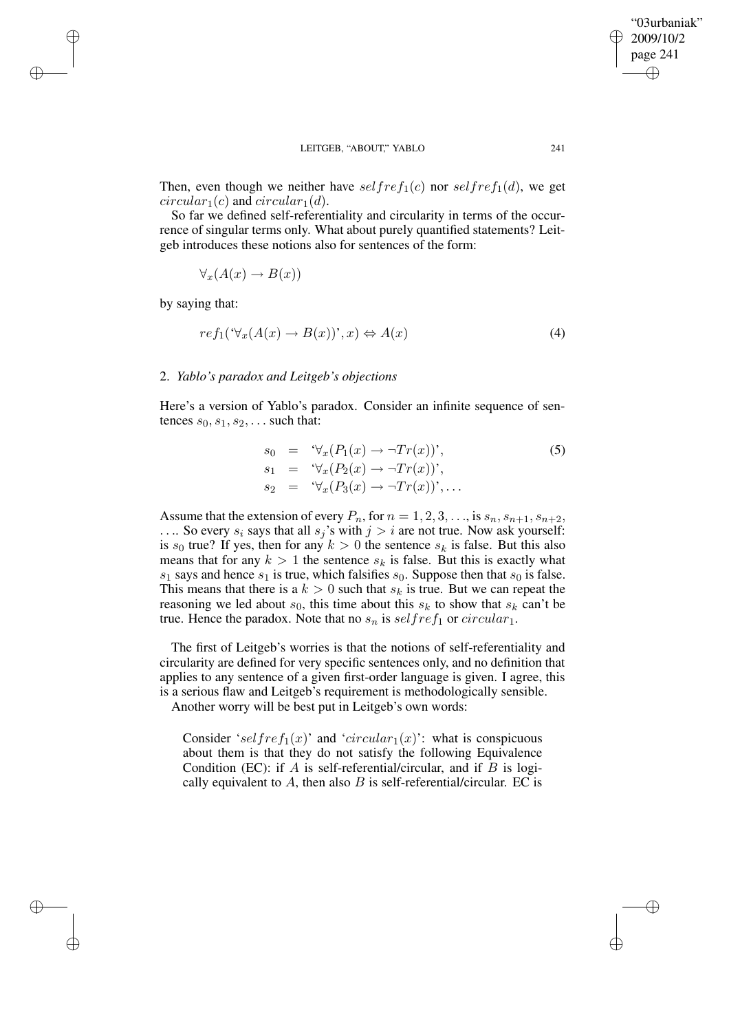Then, even though we neither have  $selfref_1(c)$  nor  $selfref_1(d)$ , we get  $circular_1(c)$  and  $circular_1(d)$ .

So far we defined self-referentiality and circularity in terms of the occurrence of singular terms only. What about purely quantified statements? Leitgeb introduces these notions also for sentences of the form:

$$
\forall_x (A(x) \to B(x))
$$

by saying that:

✐

✐

✐

✐

$$
ref_1(\forall_x (A(x) \to B(x))\check{ }, x) \Leftrightarrow A(x) \tag{4}
$$

## 2. *Yablo's paradox and Leitgeb's objections*

Here's a version of Yablo's paradox. Consider an infinite sequence of sentences  $s_0, s_1, s_2, \ldots$  such that:

$$
s_0 = \forall_x (P_1(x) \to \neg Tr(x))',s_1 = \forall_x (P_2(x) \to \neg Tr(x))',s_2 = \forall_x (P_3(x) \to \neg Tr(x))',\dots
$$
\n(5)

Assume that the extension of every  $P_n$ , for  $n = 1, 2, 3, \ldots$ , is  $s_n, s_{n+1}, s_{n+2}$ , .... So every  $s_i$  says that all  $s_j$ 's with  $j > i$  are not true. Now ask yourself: is  $s_0$  true? If yes, then for any  $k > 0$  the sentence  $s_k$  is false. But this also means that for any  $k > 1$  the sentence  $s_k$  is false. But this is exactly what  $s_1$  says and hence  $s_1$  is true, which falsifies  $s_0$ . Suppose then that  $s_0$  is false. This means that there is a  $k > 0$  such that  $s_k$  is true. But we can repeat the reasoning we led about  $s_0$ , this time about this  $s_k$  to show that  $s_k$  can't be true. Hence the paradox. Note that no  $s_n$  is  $selfref_1$  or  $circular_1$ .

The first of Leitgeb's worries is that the notions of self-referentiality and circularity are defined for very specific sentences only, and no definition that applies to any sentence of a given first-order language is given. I agree, this is a serious flaw and Leitgeb's requirement is methodologically sensible.

Another worry will be best put in Leitgeb's own words:

Consider 'selfref<sub>1</sub>(x)' and 'circular<sub>1</sub>(x)': what is conspicuous about them is that they do not satisfy the following Equivalence Condition (EC): if  $A$  is self-referential/circular, and if  $B$  is logically equivalent to  $A$ , then also  $B$  is self-referential/circular. EC is

"03urbaniak" 2009/10/2 page 241

✐

✐

✐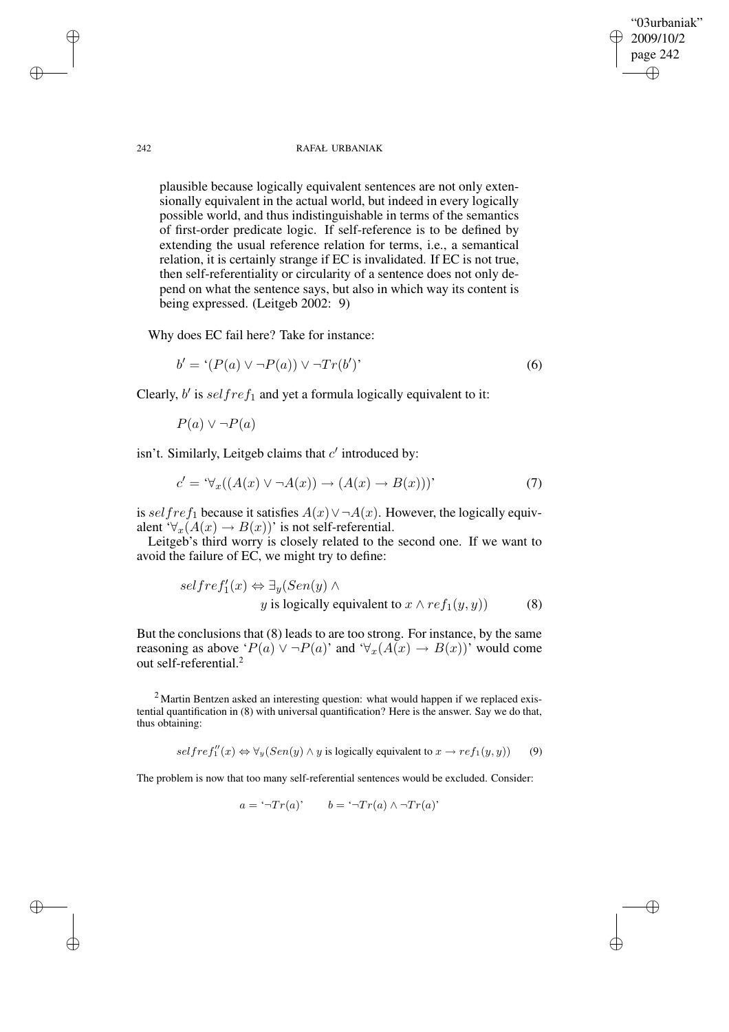242 RAFAŁ URBANIAK

"03urbaniak" 2009/10/2 page 242

✐

✐

✐

✐

plausible because logically equivalent sentences are not only extensionally equivalent in the actual world, but indeed in every logically possible world, and thus indistinguishable in terms of the semantics of first-order predicate logic. If self-reference is to be defined by extending the usual reference relation for terms, i.e., a semantical relation, it is certainly strange if EC is invalidated. If EC is not true, then self-referentiality or circularity of a sentence does not only depend on what the sentence says, but also in which way its content is being expressed. (Leitgeb 2002: 9)

Why does EC fail here? Take for instance:

$$
b' = ' (P(a) \lor \neg P(a)) \lor \neg Tr(b')'
$$
\n
$$
(6)
$$

Clearly,  $b'$  is  $selfref_1$  and yet a formula logically equivalent to it:

 $P(a) \vee \neg P(a)$ 

isn't. Similarly, Leitgeb claims that  $c'$  introduced by:

$$
c' = \mathcal{L}_{x}((A(x) \lor \neg A(x)) \to (A(x) \to B(x)))'
$$
\n(7)

is selfref<sub>1</sub> because it satisfies  $A(x) \vee \neg A(x)$ . However, the logically equivalent ' $\forall_x (A(x) \rightarrow B(x))$ ' is not self-referential.

Leitgeb's third worry is closely related to the second one. If we want to avoid the failure of EC, we might try to define:

$$
selfref'_1(x) \Leftrightarrow \exists y (Sen(y) \land y \text{ is logically equivalent to } x \land ref_1(y, y))
$$
(8)

But the conclusions that (8) leads to are too strong. For instance, by the same reasoning as above ' $P(a) \vee \neg P(a)$ ' and ' $\forall_x (A(x) \rightarrow B(x))$ ' would come out self-referential.<sup>2</sup>

<sup>2</sup> Martin Bentzen asked an interesting question: what would happen if we replaced existential quantification in (8) with universal quantification? Here is the answer. Say we do that, thus obtaining:

 $selfref''_1(x) \Leftrightarrow \forall y (Sen(y) \land y \text{ is logically equivalent to } x \rightarrow ref_1(y, y))$  (9)

The problem is now that too many self-referential sentences would be excluded. Consider:

 $a = \sqrt{\overline{\ }}Tr(a)$ ' b =  $\sqrt{\overline{\ }}Tr(a) \wedge \sqrt{\overline{\ }}Tr(a)$ '

✐

✐

✐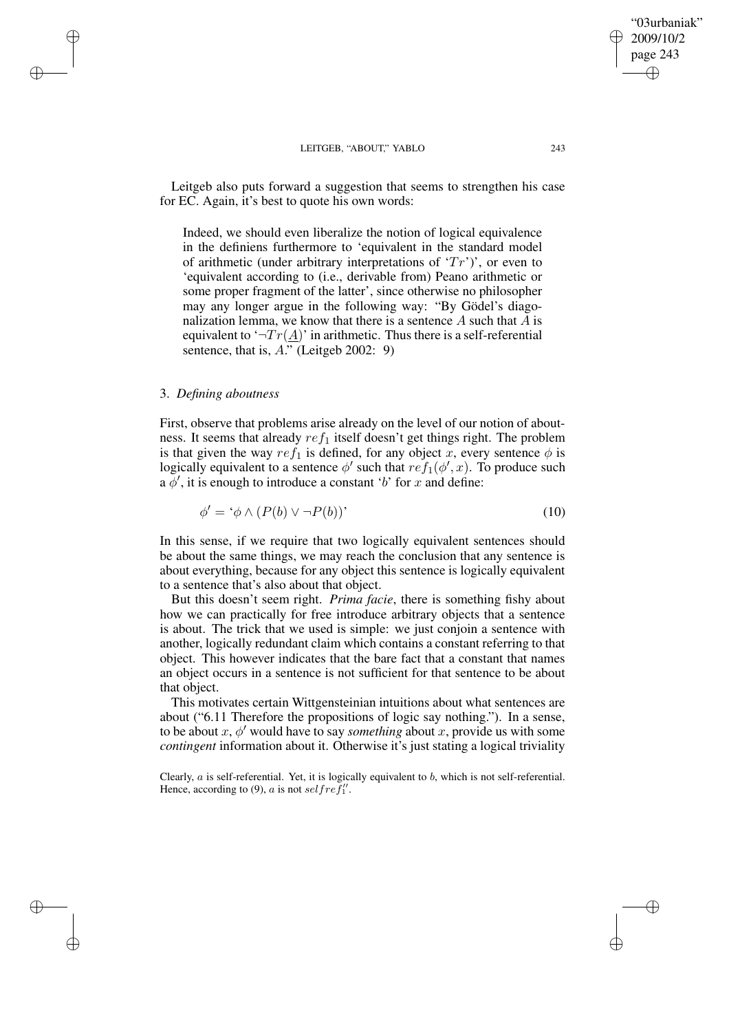Leitgeb also puts forward a suggestion that seems to strengthen his case for EC. Again, it's best to quote his own words:

Indeed, we should even liberalize the notion of logical equivalence in the definiens furthermore to 'equivalent in the standard model of arithmetic (under arbitrary interpretations of  $Tr'$ )', or even to 'equivalent according to (i.e., derivable from) Peano arithmetic or some proper fragment of the latter', since otherwise no philosopher may any longer argue in the following way: "By Gödel's diagonalization lemma, we know that there is a sentence  $A$  such that  $A$  is equivalent to ' $\neg Tr(\underline{A})$ ' in arithmetic. Thus there is a self-referential sentence, that is,  $\overline{A}$ . (Leitgeb 2002: 9)

# 3. *Defining aboutness*

✐

✐

✐

✐

First, observe that problems arise already on the level of our notion of aboutness. It seems that already  $ref_1$  itself doesn't get things right. The problem is that given the way  $ref_1$  is defined, for any object x, every sentence  $\phi$  is logically equivalent to a sentence  $\phi'$  such that  $ref_1(\phi',x)$ . To produce such  $a \phi'$ , it is enough to introduce a constant 'b' for x and define:

$$
\phi' = \dot{\phi} \wedge (P(b) \vee \neg P(b))'
$$
\n(10)

In this sense, if we require that two logically equivalent sentences should be about the same things, we may reach the conclusion that any sentence is about everything, because for any object this sentence is logically equivalent to a sentence that's also about that object.

But this doesn't seem right. *Prima facie*, there is something fishy about how we can practically for free introduce arbitrary objects that a sentence is about. The trick that we used is simple: we just conjoin a sentence with another, logically redundant claim which contains a constant referring to that object. This however indicates that the bare fact that a constant that names an object occurs in a sentence is not sufficient for that sentence to be about that object.

This motivates certain Wittgensteinian intuitions about what sentences are about ("6.11 Therefore the propositions of logic say nothing."). In a sense, to be about  $x, \phi'$  would have to say *something* about x, provide us with some *contingent* information about it. Otherwise it's just stating a logical triviality

Clearly,  $a$  is self-referential. Yet, it is logically equivalent to  $b$ , which is not self-referential. Hence, according to (9), a is not self ref''.

"03urbaniak" 2009/10/2 page 243

✐

✐

✐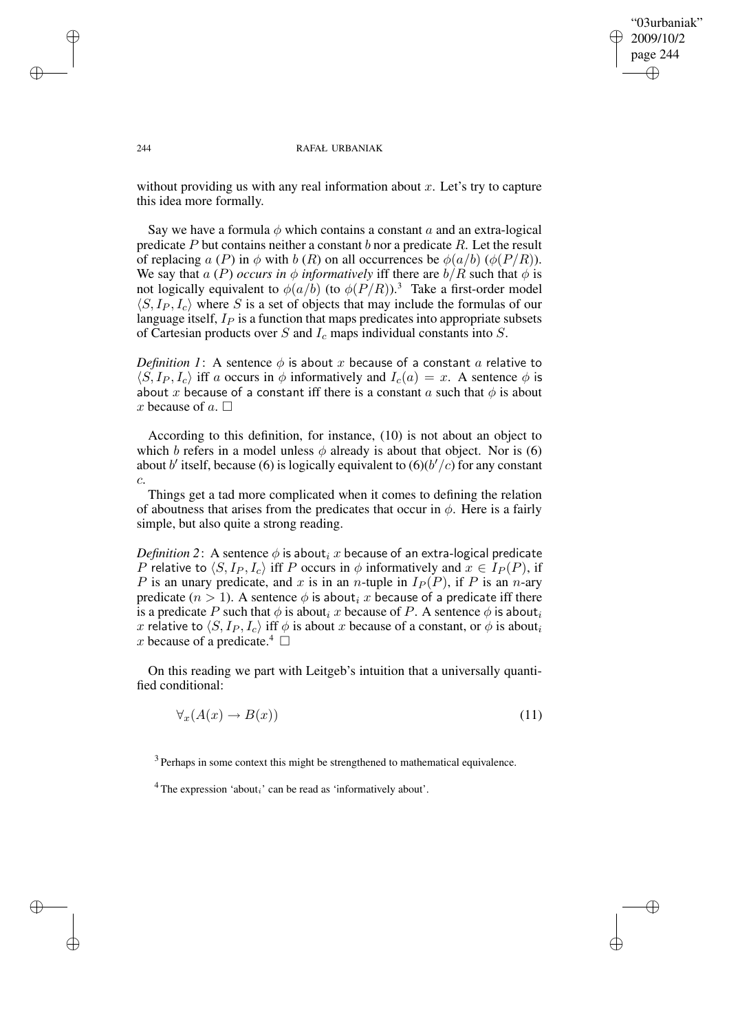"03urbaniak" 2009/10/2 page 244 ✐ ✐

✐

✐

### 244 RAFAŁ URBANIAK

without providing us with any real information about  $x$ . Let's try to capture this idea more formally.

Say we have a formula  $\phi$  which contains a constant a and an extra-logical predicate  $P$  but contains neither a constant  $b$  nor a predicate  $R$ . Let the result of replacing a (P) in  $\phi$  with b (R) on all occurrences be  $\phi(a/b)$  ( $\phi(P/R)$ ). We say that a (P) *occurs* in  $\phi$  *informatively* iff there are  $b/R$  such that  $\phi$  is not logically equivalent to  $\phi(a/b)$  (to  $\phi(P/R)$ ).<sup>3</sup> Take a first-order model  $\langle S, I_P, I_c \rangle$  where S is a set of objects that may include the formulas of our language itself,  $I<sub>P</sub>$  is a function that maps predicates into appropriate subsets of Cartesian products over  $S$  and  $I_c$  maps individual constants into  $S$ .

*Definition* 1: A sentence  $\phi$  is about x because of a constant a relative to  $\langle S, I_P, I_c \rangle$  iff a occurs in  $\phi$  informatively and  $I_c(a) = x$ . A sentence  $\phi$  is about x because of a constant iff there is a constant  $a$  such that  $\phi$  is about x because of  $a$ .  $\Box$ 

According to this definition, for instance, (10) is not about an object to which b refers in a model unless  $\phi$  already is about that object. Nor is (6) about b' itself, because (6) is logically equivalent to  $(6)(b'/c)$  for any constant c.

Things get a tad more complicated when it comes to defining the relation of aboutness that arises from the predicates that occur in  $\phi$ . Here is a fairly simple, but also quite a strong reading.

*Definition* 2: A sentence  $\phi$  is about<sub>i</sub> x because of an extra-logical predicate P relative to  $\langle S, I_P, I_c \rangle$  iff P occurs in  $\phi$  informatively and  $x \in I_P (P)$ , if P is an unary predicate, and x is in an n-tuple in  $I_P(P)$ , if P is an n-ary predicate  $(n > 1)$ . A sentence  $\phi$  is about<sub>i</sub> x because of a predicate iff there is a predicate P such that  $\phi$  is about<sub>i</sub> x because of P. A sentence  $\phi$  is about<sub>i</sub> x relative to  $\langle S, I_P, I_c \rangle$  iff  $\phi$  is about x because of a constant, or  $\phi$  is about<sub>i</sub> x because of a predicate.<sup>4</sup>  $\Box$ 

On this reading we part with Leitgeb's intuition that a universally quantified conditional:

$$
\forall_x (A(x) \to B(x)) \tag{11}
$$

 $3$  Perhaps in some context this might be strengthened to mathematical equivalence.

<sup>4</sup> The expression 'about<sub>i</sub>' can be read as 'informatively about'.

✐

✐

✐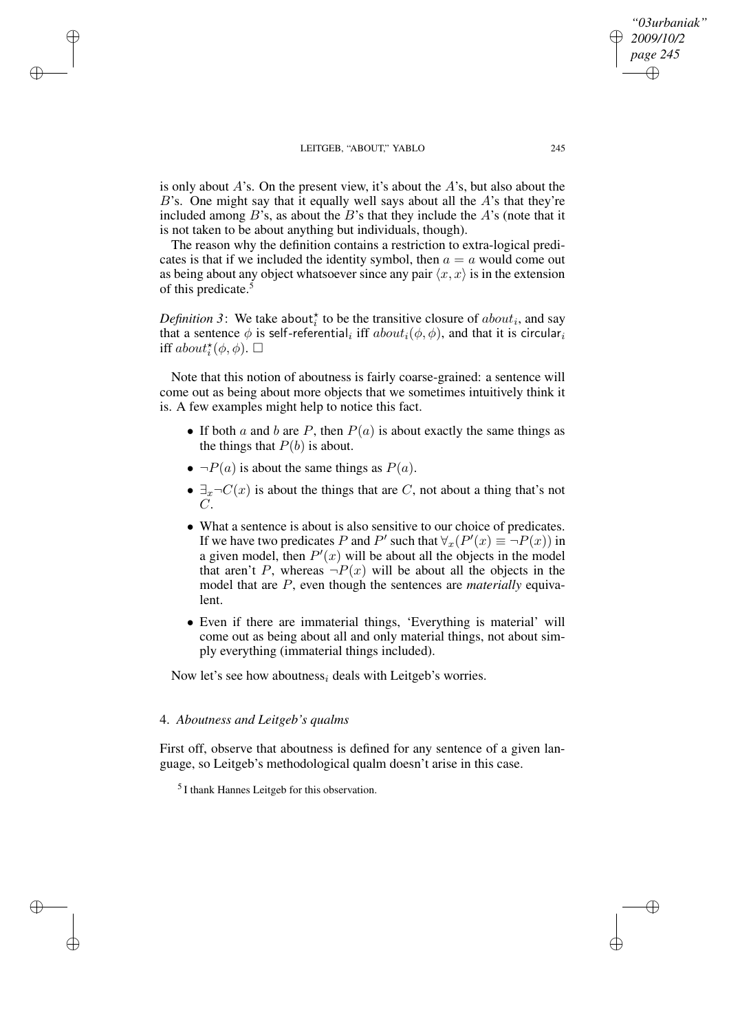✐

✐

✐

✐

is only about  $A$ 's. On the present view, it's about the  $A$ 's, but also about the  $B$ 's. One might say that it equally well says about all the  $A$ 's that they're included among  $B$ 's, as about the  $B$ 's that they include the  $A$ 's (note that it is not taken to be about anything but individuals, though).

The reason why the definition contains a restriction to extra-logical predicates is that if we included the identity symbol, then  $a = a$  would come out as being about any object whatsoever since any pair  $\langle x, x \rangle$  is in the extension of this predicate.<sup>5</sup>

*Definition* 3: We take about<sup> $\star$ </sup> to be the transitive closure of *about<sub>i</sub>*, and say that a sentence  $\phi$  is self-referential $_i$  iff  $about_i(\phi,\phi),$  and that it is circular $_i$ iff  $about^{\star}_i(\phi, \phi)$ .  $\Box$ 

Note that this notion of aboutness is fairly coarse-grained: a sentence will come out as being about more objects that we sometimes intuitively think it is. A few examples might help to notice this fact.

- If both a and b are P, then  $P(a)$  is about exactly the same things as the things that  $P(b)$  is about.
- $\bullet \neg P(a)$  is about the same things as  $P(a)$ .
- $\exists_x \neg C(x)$  is about the things that are C, not about a thing that's not  $C$ .
- What a sentence is about is also sensitive to our choice of predicates. If we have two predicates P and P' such that  $\forall x (P'(x) \equiv \neg P(x))$  in a given model, then  $P'(x)$  will be about all the objects in the model that aren't P, whereas  $\neg P(x)$  will be about all the objects in the model that are P, even though the sentences are *materially* equivalent.
- Even if there are immaterial things, 'Everything is material' will come out as being about all and only material things, not about simply everything (immaterial things included).

Now let's see how aboutness<sub>i</sub> deals with Leitgeb's worries.

# 4. *Aboutness and Leitgeb's qualms*

First off, observe that aboutness is defined for any sentence of a given language, so Leitgeb's methodological qualm doesn't arise in this case.

<sup>5</sup> I thank Hannes Leitgeb for this observation.

*"03urbaniak" 2009/10/2 page 245*

✐

✐

✐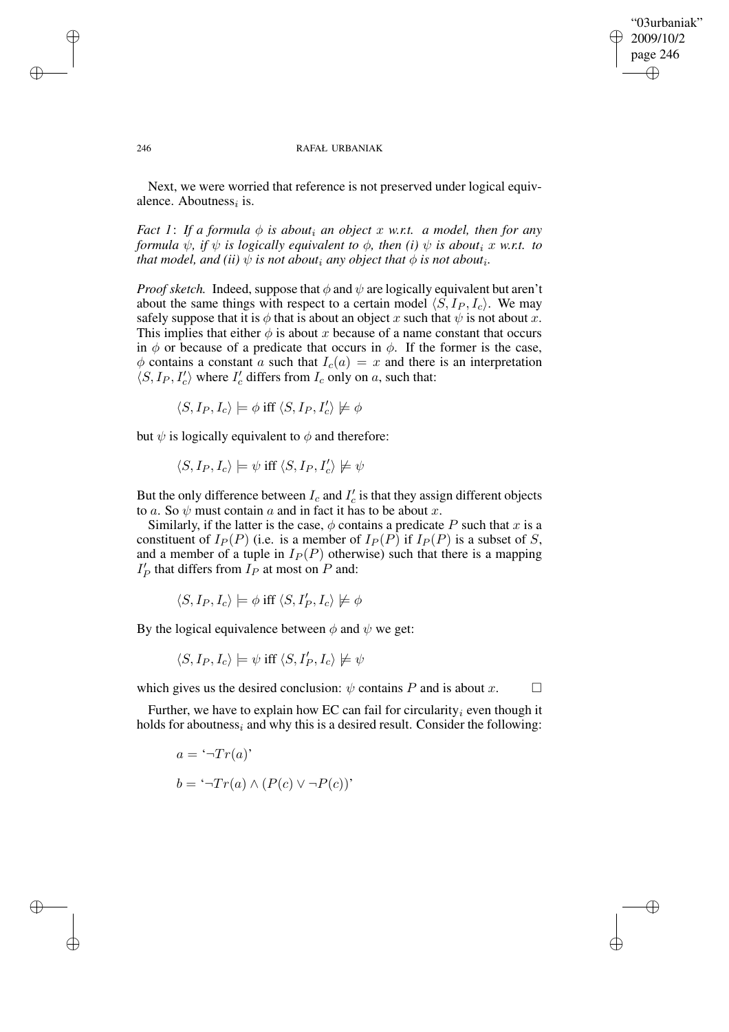## "03urbaniak" 2009/10/2 page 246 ✐ ✐

✐

✐

### 246 RAFAŁ URBANIAK

Next, we were worried that reference is not preserved under logical equivalence. Aboutness<sub>i</sub> is.

*Fact* 1: If a formula  $\phi$  *is about<sub>i</sub> an object* x *w.r.t.* a model, then for any *formula*  $\psi$ *, if*  $\psi$  *is logically equivalent to*  $\phi$ *, then (i)*  $\psi$  *is about<sub>i</sub> x w.r.t. to that model, and (ii)*  $\psi$  *is not about<sub>i</sub> any object that*  $\phi$  *is not about<sub>i</sub>.* 

*Proof sketch.* Indeed, suppose that  $\phi$  and  $\psi$  are logically equivalent but aren't about the same things with respect to a certain model  $\langle S, I_P, I_c \rangle$ . We may safely suppose that it is  $\phi$  that is about an object x such that  $\psi$  is not about x. This implies that either  $\phi$  is about x because of a name constant that occurs in  $\phi$  or because of a predicate that occurs in  $\phi$ . If the former is the case,  $\phi$  contains a constant a such that  $I_c(a) = x$  and there is an interpretation  $\langle S, I_P, I'_c$  $\binom{1}{c}$  where  $I_c'$  differs from  $I_c$  only on a, such that:

$$
\langle S, I_P, I_c \rangle \models \phi \text{ iff } \langle S, I_P, I_c' \rangle \not\models \phi
$$

but  $\psi$  is logically equivalent to  $\phi$  and therefore:

$$
\langle S, I_P, I_c \rangle \models \psi \text{ iff } \langle S, I_P, I_c' \rangle \not\models \psi
$$

But the only difference between  $I_c$  and  $I_c'$  $c'$  is that they assign different objects to a. So  $\psi$  must contain a and in fact it has to be about x.

Similarly, if the latter is the case,  $\phi$  contains a predicate P such that x is a constituent of  $I_P(P)$  (i.e. is a member of  $I_P(P)$  if  $I_P(P)$  is a subset of S, and a member of a tuple in  $I_P(P)$  otherwise) such that there is a mapping  $I'_l$  $P_P'$  that differs from  $I_P$  at most on  $P$  and:

$$
\langle S, I_P, I_c \rangle \models \phi \text{ iff } \langle S, I'_P, I_c \rangle \not\models \phi
$$

By the logical equivalence between  $\phi$  and  $\psi$  we get:

$$
\langle S, I_P, I_c \rangle \models \psi \text{ iff } \langle S, I'_P, I_c \rangle \not \models \psi
$$

which gives us the desired conclusion:  $\psi$  contains P and is about x.  $\Box$ 

Further, we have to explain how EC can fail for circularity<sub>i</sub> even though it holds for aboutness<sub>i</sub> and why this is a desired result. Consider the following:

$$
a = \ulcorner \neg Tr(a)'
$$
  

$$
b = \ulcorner \neg Tr(a) \land (P(c) \lor \neg P(c))'
$$

✐

✐

✐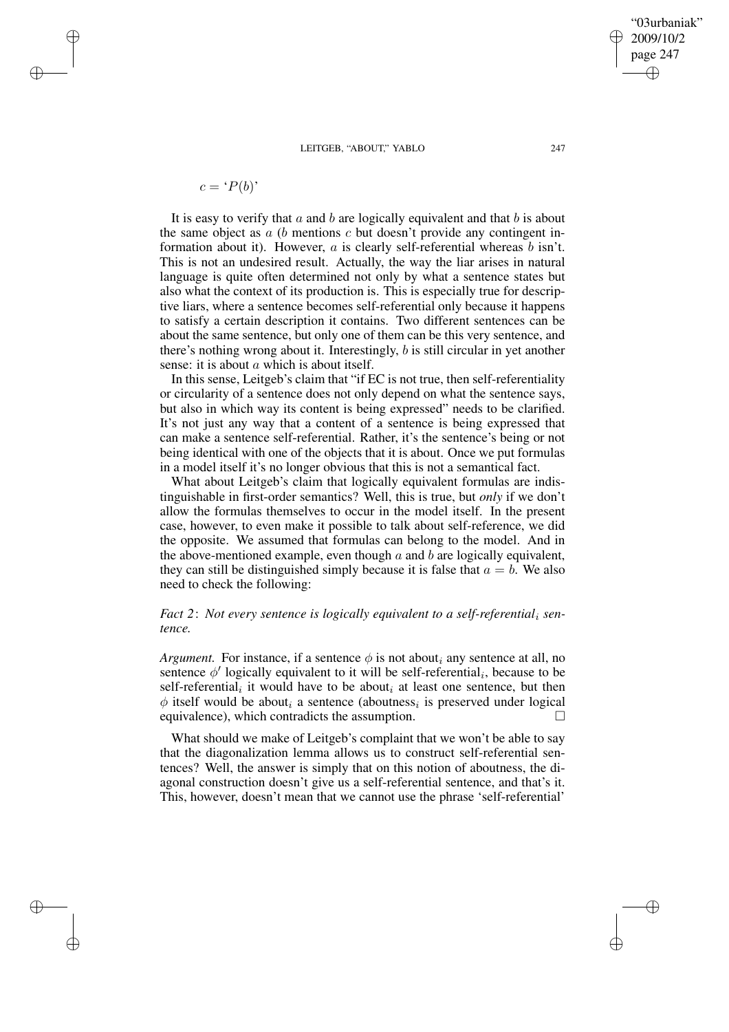$$
c = 'P(b)'
$$

✐

✐

✐

✐

It is easy to verify that  $a$  and  $b$  are logically equivalent and that  $b$  is about the same object as  $a$  ( $b$  mentions  $c$  but doesn't provide any contingent information about it). However,  $a$  is clearly self-referential whereas  $b$  isn't. This is not an undesired result. Actually, the way the liar arises in natural language is quite often determined not only by what a sentence states but also what the context of its production is. This is especially true for descriptive liars, where a sentence becomes self-referential only because it happens to satisfy a certain description it contains. Two different sentences can be about the same sentence, but only one of them can be this very sentence, and there's nothing wrong about it. Interestingly, b is still circular in yet another sense: it is about  $a$  which is about itself.

In this sense, Leitgeb's claim that "if EC is not true, then self-referentiality or circularity of a sentence does not only depend on what the sentence says, but also in which way its content is being expressed" needs to be clarified. It's not just any way that a content of a sentence is being expressed that can make a sentence self-referential. Rather, it's the sentence's being or not being identical with one of the objects that it is about. Once we put formulas in a model itself it's no longer obvious that this is not a semantical fact.

What about Leitgeb's claim that logically equivalent formulas are indistinguishable in first-order semantics? Well, this is true, but *only* if we don't allow the formulas themselves to occur in the model itself. In the present case, however, to even make it possible to talk about self-reference, we did the opposite. We assumed that formulas can belong to the model. And in the above-mentioned example, even though  $a$  and  $b$  are logically equivalent, they can still be distinguished simply because it is false that  $a = b$ . We also need to check the following:

# *Fact* 2: *Not every sentence is logically equivalent to a self-referential, sentence.*

*Argument.* For instance, if a sentence  $\phi$  is not about<sub>i</sub> any sentence at all, no sentence  $\phi'$  logically equivalent to it will be self-referential<sub>i</sub>, because to be self-referential<sub>i</sub> it would have to be about<sub>i</sub> at least one sentence, but then  $\phi$  itself would be about<sub>i</sub> a sentence (aboutness<sub>i</sub> is preserved under logical equivalence), which contradicts the assumption.

What should we make of Leitgeb's complaint that we won't be able to say that the diagonalization lemma allows us to construct self-referential sentences? Well, the answer is simply that on this notion of aboutness, the diagonal construction doesn't give us a self-referential sentence, and that's it. This, however, doesn't mean that we cannot use the phrase 'self-referential'

"03urbaniak" 2009/10/2 page 247

✐

✐

✐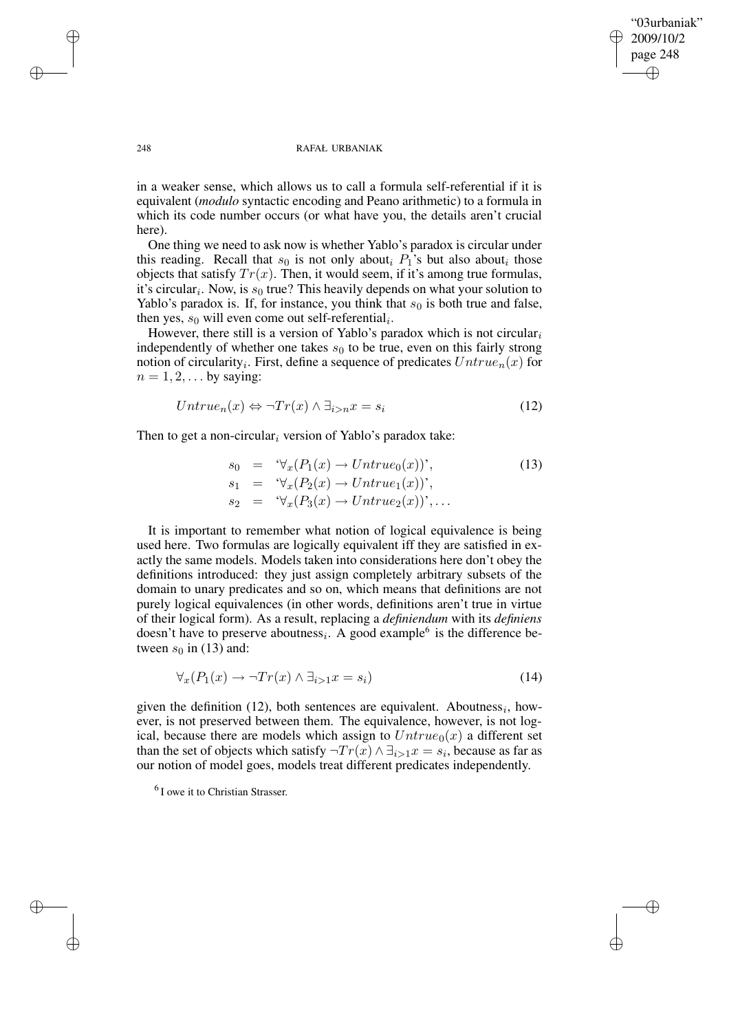✐

✐

### 248 RAFAŁ URBANIAK

in a weaker sense, which allows us to call a formula self-referential if it is equivalent (*modulo* syntactic encoding and Peano arithmetic) to a formula in which its code number occurs (or what have you, the details aren't crucial here).

One thing we need to ask now is whether Yablo's paradox is circular under this reading. Recall that  $s_0$  is not only about<sub>i</sub>  $P_1$ 's but also about<sub>i</sub> those objects that satisfy  $Tr(x)$ . Then, it would seem, if it's among true formulas, it's circular<sub>i</sub>. Now, is  $s_0$  true? This heavily depends on what your solution to Yablo's paradox is. If, for instance, you think that  $s_0$  is both true and false, then yes,  $s_0$  will even come out self-referential<sub>i</sub>.

However, there still is a version of Yablo's paradox which is not circular<sub>i</sub> independently of whether one takes  $s_0$  to be true, even on this fairly strong notion of circularity<sub>i</sub>. First, define a sequence of predicates  $Untrue_n(x)$  for  $n = 1, 2, \ldots$  by saying:

$$
Untrue_n(x) \Leftrightarrow \neg Tr(x) \wedge \exists_{i>n} x = s_i \tag{12}
$$

Then to get a non-circular<sub>i</sub> version of Yablo's paradox take:

$$
s_0 = \forall_x (P_1(x) \to Untrue_0(x))',
$$
  
\n
$$
s_1 = \forall_x (P_2(x) \to Untrue_1(x))',
$$
  
\n
$$
s_2 = \forall_x (P_3(x) \to Untrue_2(x))',
$$
 (13)

It is important to remember what notion of logical equivalence is being used here. Two formulas are logically equivalent iff they are satisfied in exactly the same models. Models taken into considerations here don't obey the definitions introduced: they just assign completely arbitrary subsets of the domain to unary predicates and so on, which means that definitions are not purely logical equivalences (in other words, definitions aren't true in virtue of their logical form). As a result, replacing a *definiendum* with its *definiens* doesn't have to preserve aboutness<sub>i</sub>. A good example<sup>6</sup> is the difference between  $s_0$  in (13) and:

$$
\forall_x (P_1(x) \to \neg Tr(x) \land \exists_{i>1} x = s_i)
$$
\n(14)

given the definition (12), both sentences are equivalent. Aboutness<sub>i</sub>, however, is not preserved between them. The equivalence, however, is not logical, because there are models which assign to  $Untrue_0(x)$  a different set than the set of objects which satisfy  $\neg Tr(x) \land \exists_{i>1} x = s_i$ , because as far as our notion of model goes, models treat different predicates independently.

✐

✐

✐

<sup>&</sup>lt;sup>6</sup> I owe it to Christian Strasser.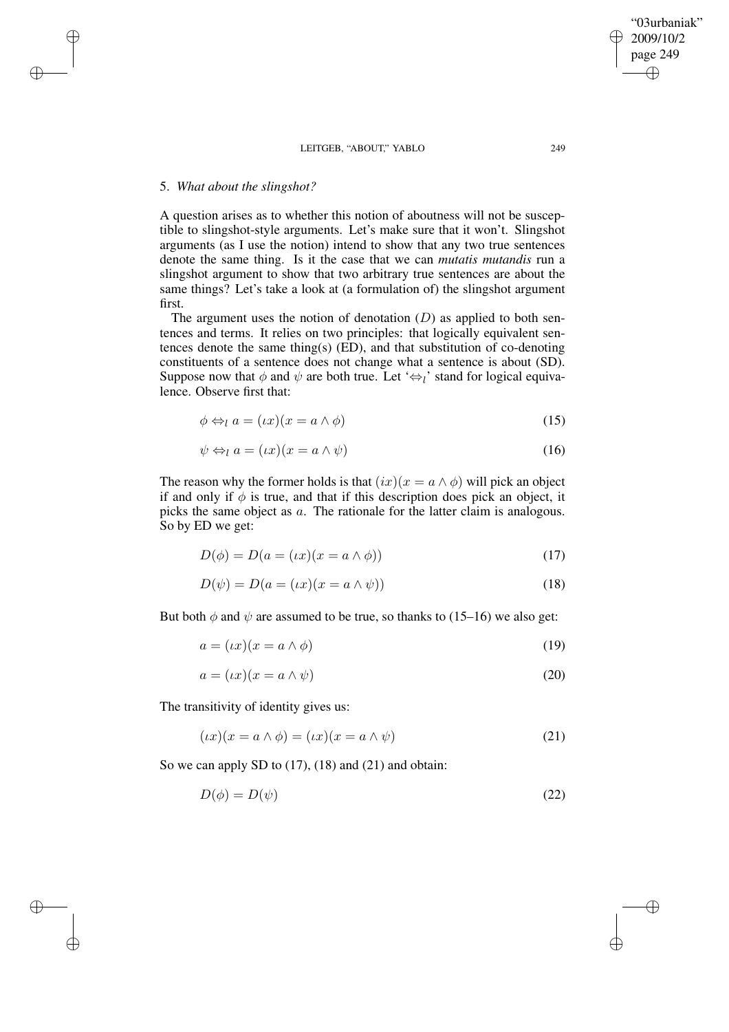# 5. *What about the slingshot?*

✐

✐

✐

✐

A question arises as to whether this notion of aboutness will not be susceptible to slingshot-style arguments. Let's make sure that it won't. Slingshot arguments (as I use the notion) intend to show that any two true sentences denote the same thing. Is it the case that we can *mutatis mutandis* run a slingshot argument to show that two arbitrary true sentences are about the same things? Let's take a look at (a formulation of) the slingshot argument first.

The argument uses the notion of denotation  $(D)$  as applied to both sentences and terms. It relies on two principles: that logically equivalent sentences denote the same thing(s) (ED), and that substitution of co-denoting constituents of a sentence does not change what a sentence is about (SD). Suppose now that  $\phi$  and  $\psi$  are both true. Let ' $\Leftrightarrow_l$ ' stand for logical equivalence. Observe first that:

$$
\phi \Leftrightarrow_l a = (\iota x)(x = a \wedge \phi) \tag{15}
$$

$$
\psi \Leftrightarrow_l a = (ix)(x = a \land \psi) \tag{16}
$$

The reason why the former holds is that  $(ix)(x = a \land \phi)$  will pick an object if and only if  $\phi$  is true, and that if this description does pick an object, it picks the same object as a. The rationale for the latter claim is analogous. So by ED we get:

$$
D(\phi) = D(a = (ix)(x = a \land \phi))
$$
\n<sup>(17)</sup>

$$
D(\psi) = D(a = (ix)(x = a \wedge \psi))
$$
\n(18)

But both  $\phi$  and  $\psi$  are assumed to be true, so thanks to (15–16) we also get:

$$
a = (\iota x)(x = a \wedge \phi) \tag{19}
$$

$$
a = (\iota x)(x = a \wedge \psi) \tag{20}
$$

The transitivity of identity gives us:

$$
(\iota x)(x = a \land \phi) = (\iota x)(x = a \land \psi)
$$
\n<sup>(21)</sup>

So we can apply SD to  $(17)$ ,  $(18)$  and  $(21)$  and obtain:

$$
D(\phi) = D(\psi) \tag{22}
$$

2009/10/2 page 249 ✐ ✐

✐

✐

"03urbaniak"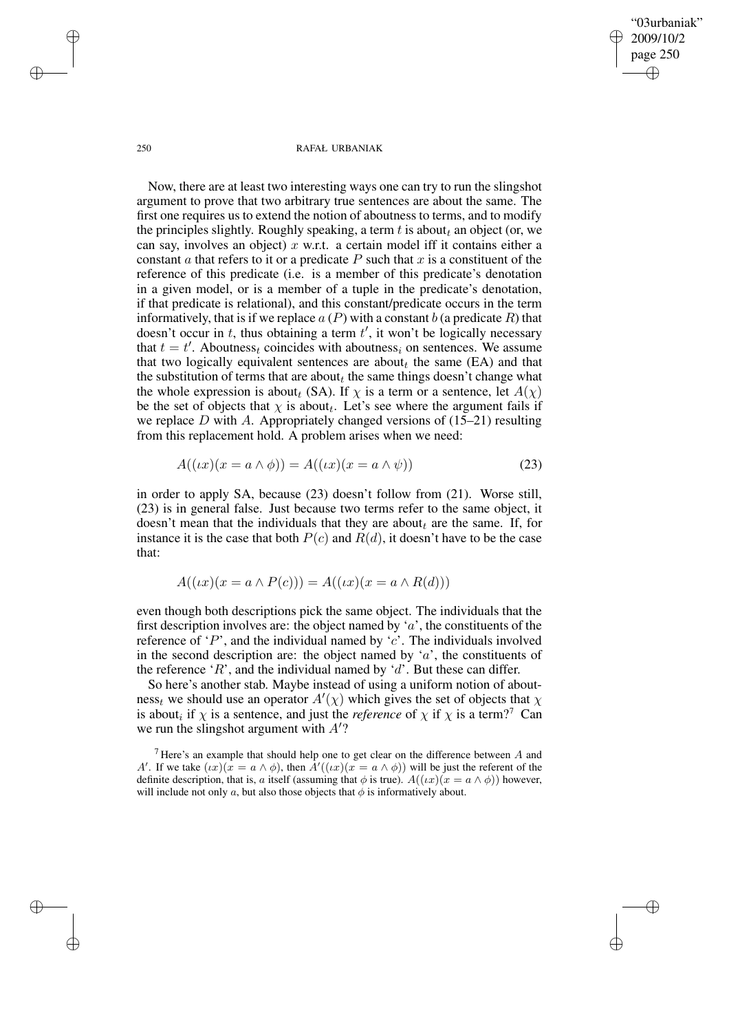"03urbaniak" 2009/10/2 page 250 ✐ ✐

✐

✐

#### 250 RAFAŁ URBANIAK

Now, there are at least two interesting ways one can try to run the slingshot argument to prove that two arbitrary true sentences are about the same. The first one requires us to extend the notion of aboutness to terms, and to modify the principles slightly. Roughly speaking, a term t is about an object (or, we can say, involves an object) x w.r.t. a certain model iff it contains either a constant  $\alpha$  that refers to it or a predicate  $P$  such that  $x$  is a constituent of the reference of this predicate (i.e. is a member of this predicate's denotation in a given model, or is a member of a tuple in the predicate's denotation, if that predicate is relational), and this constant/predicate occurs in the term informatively, that is if we replace  $a(P)$  with a constant b (a predicate R) that  $\frac{d}{d}$  doesn't occur in t, thus obtaining a term  $t'$ , it won't be logically necessary that  $t = t'$ . Aboutness<sub>t</sub> coincides with aboutness<sub>i</sub> on sentences. We assume that two logically equivalent sentences are about<sub>t</sub> the same (EA) and that the substitution of terms that are about<sub>t</sub> the same things doesn't change what the whole expression is about<sub>t</sub> (SA). If  $\chi$  is a term or a sentence, let  $A(\chi)$ be the set of objects that  $\chi$  is about<sub>t</sub>. Let's see where the argument fails if we replace  $D$  with  $A$ . Appropriately changed versions of (15–21) resulting from this replacement hold. A problem arises when we need:

$$
A((\iota x)(x = a \wedge \phi)) = A((\iota x)(x = a \wedge \psi))
$$
\n(23)

in order to apply SA, because (23) doesn't follow from (21). Worse still, (23) is in general false. Just because two terms refer to the same object, it doesn't mean that the individuals that they are about<sub>t</sub> are the same. If, for instance it is the case that both  $P(c)$  and  $R(d)$ , it doesn't have to be the case that:

$$
A((\iota x)(x = a \land P(c))) = A((\iota x)(x = a \land R(d)))
$$

even though both descriptions pick the same object. The individuals that the first description involves are: the object named by ' $a$ ', the constituents of the reference of  $\langle P \rangle$ , and the individual named by  $\langle c \rangle$ . The individuals involved in the second description are: the object named by ' $a$ ', the constituents of the reference 'R', and the individual named by 'd'. But these can differ.

So here's another stab. Maybe instead of using a uniform notion of aboutness<sub>t</sub> we should use an operator  $A'(\chi)$  which gives the set of objects that  $\chi$ is about<sub>i</sub> if  $\chi$  is a sentence, and just the *reference* of  $\chi$  if  $\chi$  is a term?<sup>7</sup> Can we run the slingshot argument with  $A'$ ?

✐

✐

✐

<sup>&</sup>lt;sup>7</sup> Here's an example that should help one to get clear on the difference between  $A$  and A'. If we take  $(\iota x)(x = a \wedge \phi)$ , then  $\overline{A'((\iota x)(x = a \wedge \phi))}$  will be just the referent of the definite description, that is, a itself (assuming that  $\phi$  is true).  $A((\iota x)(x = a \land \phi))$  however, will include not only a, but also those objects that  $\phi$  is informatively about.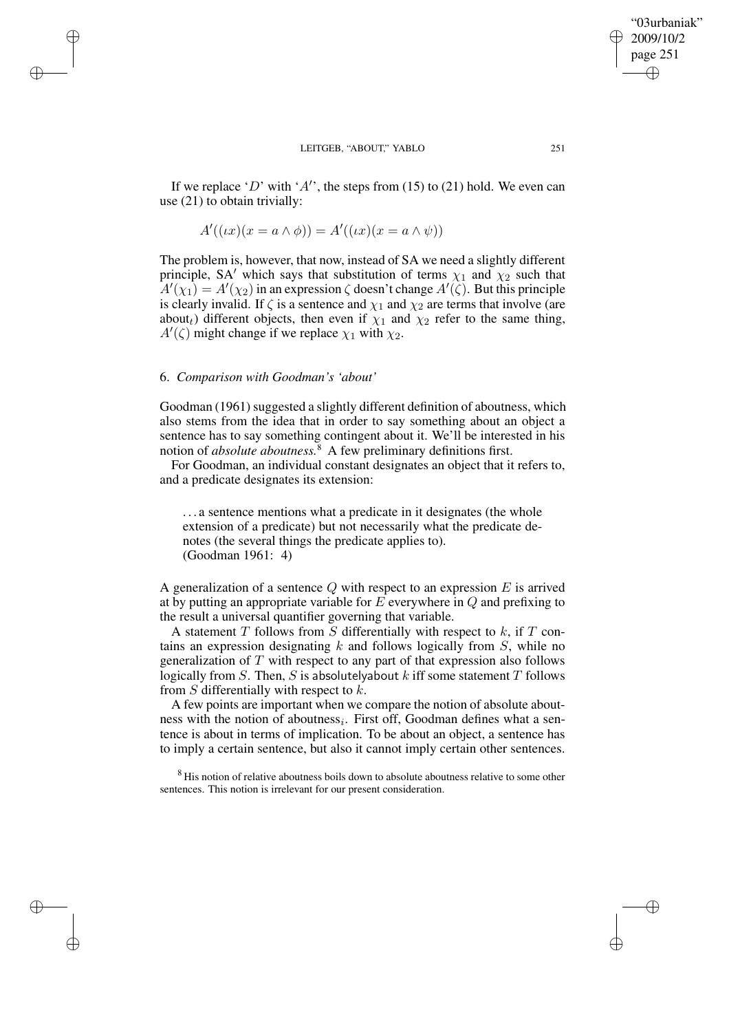If we replace 'D' with 'A'', the steps from (15) to (21) hold. We even can use (21) to obtain trivially:

$$
A'((\iota x)(x = a \wedge \phi)) = A'((\iota x)(x = a \wedge \psi))
$$

The problem is, however, that now, instead of SA we need a slightly different principle, SA<sup> $\prime$ </sup> which says that substitution of terms  $\chi_1$  and  $\chi_2$  such that  $A'(\chi_1) = A'(\chi_2)$  in an expression  $\zeta$  doesn't change  $A'(\zeta)$ . But this principle is clearly invalid. If  $\zeta$  is a sentence and  $\chi_1$  and  $\chi_2$  are terms that involve (are about<sub>t</sub>) different objects, then even if  $\chi_1$  and  $\chi_2$  refer to the same thing,  $A'(\zeta)$  might change if we replace  $\chi_1$  with  $\chi_2$ .

## 6. *Comparison with Goodman's 'about'*

✐

✐

✐

✐

Goodman (1961) suggested a slightly different definition of aboutness, which also stems from the idea that in order to say something about an object a sentence has to say something contingent about it. We'll be interested in his notion of *absolute aboutness.*<sup>8</sup> A few preliminary definitions first.

For Goodman, an individual constant designates an object that it refers to, and a predicate designates its extension:

. . . a sentence mentions what a predicate in it designates (the whole extension of a predicate) but not necessarily what the predicate denotes (the several things the predicate applies to). (Goodman 1961: 4)

A generalization of a sentence  $Q$  with respect to an expression  $E$  is arrived at by putting an appropriate variable for  $E$  everywhere in  $Q$  and prefixing to the result a universal quantifier governing that variable.

A statement  $T$  follows from  $S$  differentially with respect to  $k$ , if  $T$  contains an expression designating  $k$  and follows logically from  $S$ , while no generalization of  $T$  with respect to any part of that expression also follows logically from  $S$ . Then,  $S$  is absolutelyabout  $k$  iff some statement  $T$  follows from S differentially with respect to  $k$ .

A few points are important when we compare the notion of absolute aboutness with the notion of aboutness<sub>i</sub>. First off, Goodman defines what a sentence is about in terms of implication. To be about an object, a sentence has to imply a certain sentence, but also it cannot imply certain other sentences.

<sup>8</sup> His notion of relative aboutness boils down to absolute aboutness relative to some other sentences. This notion is irrelevant for our present consideration.

"03urbaniak" 2009/10/2 page 251

✐

✐

✐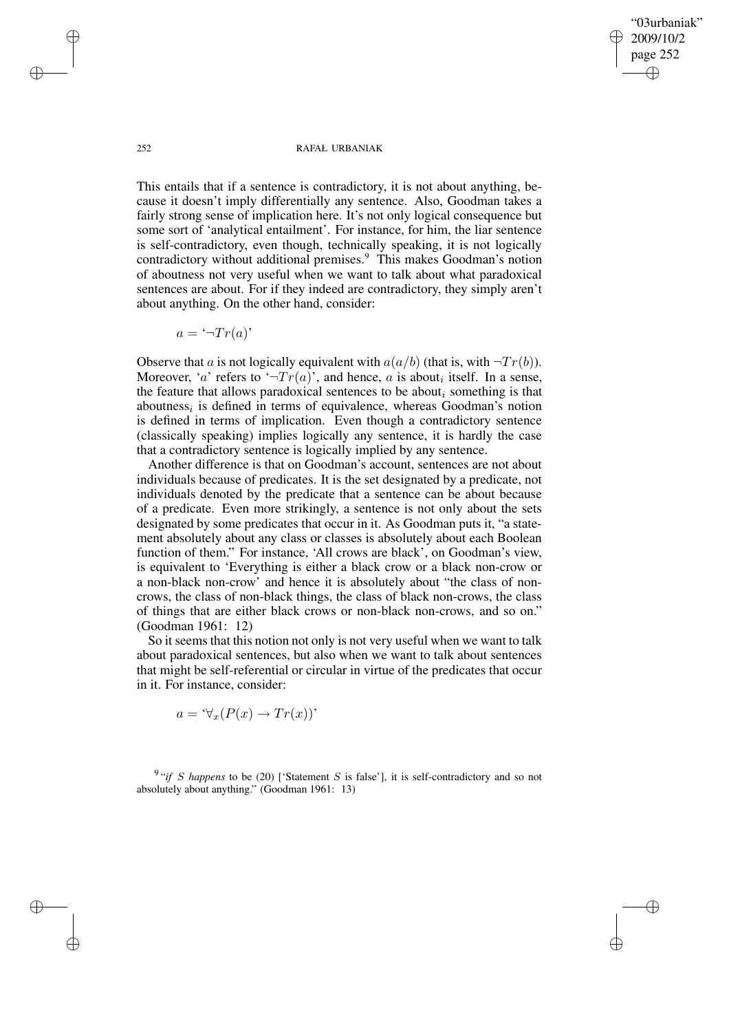"03urbaniak" 2009/10/2 page 252 ✐ ✐

✐

✐

#### 252 RAFAŁ URBANIAK

This entails that if a sentence is contradictory, it is not about anything, because it doesn't imply differentially any sentence. Also, Goodman takes a fairly strong sense of implication here. It's not only logical consequence but some sort of 'analytical entailment'. For instance, for him, the liar sentence is self-contradictory, even though, technically speaking, it is not logically contradictory without additional premises.<sup>9</sup> This makes Goodman's notion of aboutness not very useful when we want to talk about what paradoxical sentences are about. For if they indeed are contradictory, they simply aren't about anything. On the other hand, consider:

$$
a = \ulcorner \neg Tr(a) \urcorner
$$

Observe that a is not logically equivalent with  $a(a/b)$  (that is, with  $\neg Tr(b)$ ). Moreover, 'a' refers to ' $\neg Tr(a)$ ', and hence, a is about<sub>i</sub> itself. In a sense, the feature that allows paradoxical sentences to be about something is that aboutness<sub>i</sub> is defined in terms of equivalence, whereas Goodman's notion is defined in terms of implication. Even though a contradictory sentence (classically speaking) implies logically any sentence, it is hardly the case that a contradictory sentence is logically implied by any sentence.

Another difference is that on Goodman's account, sentences are not about individuals because of predicates. It is the set designated by a predicate, not individuals denoted by the predicate that a sentence can be about because of a predicate. Even more strikingly, a sentence is not only about the sets designated by some predicates that occur in it. As Goodman puts it, "a statement absolutely about any class or classes is absolutely about each Boolean function of them." For instance, 'All crows are black', on Goodman's view, is equivalent to 'Everything is either a black crow or a black non-crow or a non-black non-crow' and hence it is absolutely about "the class of noncrows, the class of non-black things, the class of black non-crows, the class of things that are either black crows or non-black non-crows, and so on." (Goodman 1961: 12)

So it seems that this notion not only is not very useful when we want to talk about paradoxical sentences, but also when we want to talk about sentences that might be self-referential or circular in virtue of the predicates that occur in it. For instance, consider:

$$
a = \forall_x (P(x) \to Tr(x))'
$$

 $9$  "*if* S happens to be (20) ['Statement S is false'], it is self-contradictory and so not absolutely about anything." (Goodman 1961: 13)

✐

✐

✐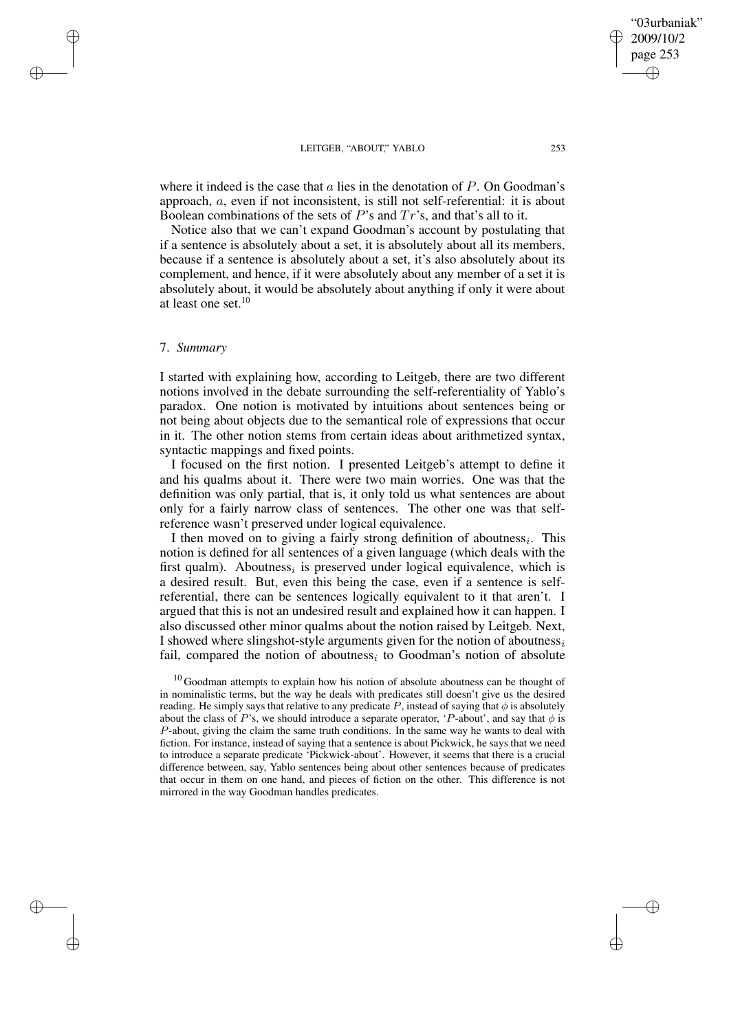where it indeed is the case that  $\alpha$  lies in the denotation of  $P$ . On Goodman's approach, a, even if not inconsistent, is still not self-referential: it is about Boolean combinations of the sets of  $P$ 's and  $Tr$ 's, and that's all to it.

Notice also that we can't expand Goodman's account by postulating that if a sentence is absolutely about a set, it is absolutely about all its members, because if a sentence is absolutely about a set, it's also absolutely about its complement, and hence, if it were absolutely about any member of a set it is absolutely about, it would be absolutely about anything if only it were about at least one set.<sup>10</sup>

## 7. *Summary*

✐

✐

✐

✐

I started with explaining how, according to Leitgeb, there are two different notions involved in the debate surrounding the self-referentiality of Yablo's paradox. One notion is motivated by intuitions about sentences being or not being about objects due to the semantical role of expressions that occur in it. The other notion stems from certain ideas about arithmetized syntax, syntactic mappings and fixed points.

I focused on the first notion. I presented Leitgeb's attempt to define it and his qualms about it. There were two main worries. One was that the definition was only partial, that is, it only told us what sentences are about only for a fairly narrow class of sentences. The other one was that selfreference wasn't preserved under logical equivalence.

I then moved on to giving a fairly strong definition of aboutness<sub>i</sub>. This notion is defined for all sentences of a given language (which deals with the first qualm). Aboutness<sub>i</sub> is preserved under logical equivalence, which is a desired result. But, even this being the case, even if a sentence is selfreferential, there can be sentences logically equivalent to it that aren't. I argued that this is not an undesired result and explained how it can happen. I also discussed other minor qualms about the notion raised by Leitgeb. Next, I showed where slingshot-style arguments given for the notion of aboutness<sub>i</sub> fail, compared the notion of aboutness<sub>i</sub> to Goodman's notion of absolute

 $10$  Goodman attempts to explain how his notion of absolute aboutness can be thought of in nominalistic terms, but the way he deals with predicates still doesn't give us the desired reading. He simply says that relative to any predicate P, instead of saying that  $\phi$  is absolutely about the class of P's, we should introduce a separate operator, 'P-about', and say that  $\phi$  is P-about, giving the claim the same truth conditions. In the same way he wants to deal with fiction. For instance, instead of saying that a sentence is about Pickwick, he says that we need to introduce a separate predicate 'Pickwick-about'. However, it seems that there is a crucial difference between, say, Yablo sentences being about other sentences because of predicates that occur in them on one hand, and pieces of fiction on the other. This difference is not mirrored in the way Goodman handles predicates.

"03urbaniak" 2009/10/2 page 253

✐

✐

✐